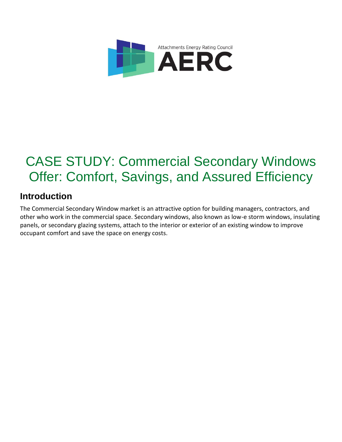

# CASE STUDY: Commercial Secondary Windows Offer: Comfort, Savings, and Assured Efficiency

### **Introduction**

The Commercial Secondary Window market is an attractive option for building managers, contractors, and other who work in the commercial space. Secondary windows, also known as low-e storm windows, insulating panels, or secondary glazing systems, attach to the interior or exterior of an existing window to improve occupant comfort and save the space on energy costs.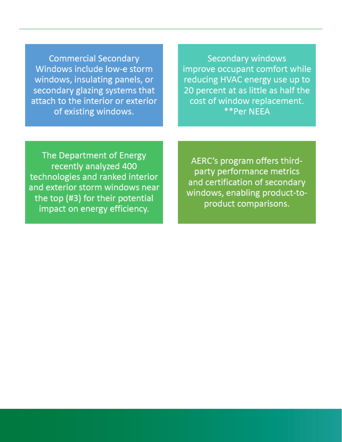**Commercial Secondary** Windows include low-e storm windows, insulating panels, or secondary glazing systems that attach to the interior or exterior of existing windows.

**Secondary windows** improve occupant comfort while reducing HVAC energy use up to 20 percent at as little as half the cost of window replacement. \*\*Per NEEA

The Department of Energy recently analyzed 400 technologies and ranked interior and exterior storm windows near the top (#3) for their potential impact on energy efficiency.

AERC's program offers thirdparty performance metrics and certification of secondary windows, enabling product-toproduct comparisons.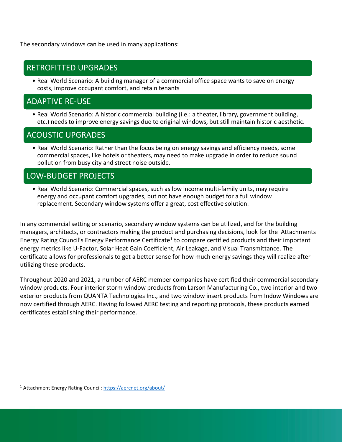The secondary windows can be used in many applications:

#### RETROFITTED UPGRADES

• Real World Scenario: A building manager of a commercial office space wants to save on energy costs, improve occupant comfort, and retain tenants

#### ADAPTIVE RE-USE

• Real World Scenario: A historic commercial building (i.e.: a theater, library, government building, etc.) needs to improve energy savings due to original windows, but still maintain historic aesthetic.

#### ACOUSTIC UPGRADES

• Real World Scenario: Rather than the focus being on energy savings and efficiency needs, some commercial spaces, like hotels or theaters, may need to make upgrade in order to reduce sound pollution from busy city and street noise outside.

#### LOW-BUDGET PROJECTS

• Real World Scenario: Commercial spaces, such as low income multi-family units, may require energy and occupant comfort upgrades, but not have enough budget for a full window replacement. Secondary window systems offer a great, cost effective solution.

In any commercial setting or scenario, secondary window systems can be utilized, and for the building managers, architects, or contractors making the product and purchasing decisions, look for the Attachments Energy Rating Council's Energy Performance Certificate<sup>1</sup> to compare certified products and their important energy metrics like U-Factor, Solar Heat Gain Coefficient, Air Leakage, and Visual Transmittance. The certificate allows for professionals to get a better sense for how much energy savings they will realize after utilizing these products.

Throughout 2020 and 2021, a number of AERC member companies have certified their commercial secondary window products. Four interior storm window products from Larson Manufacturing Co., two interior and two exterior products from QUANTA Technologies Inc., and two window insert products from Indow Windows are now certified through AERC. Having followed AERC testing and reporting protocols, these products earned certificates establishing their performance.

<sup>&</sup>lt;sup>1</sup> Attachment Energy Rating Council:<https://aercnet.org/about/>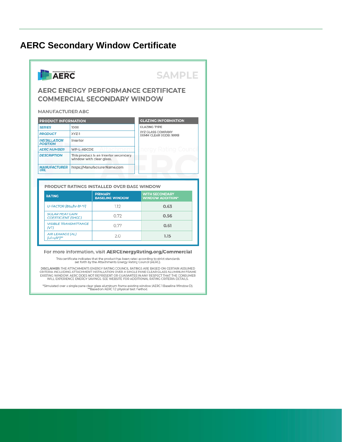#### **AERC Secondary Window Certificate**



For more information, visit AERCEnergyRating.org/Commercial

This certificate indicates that the product has been rated according to strict standards<br>set forth by the Attachments Energy Rating Council (AERC).

DISCLAIMER: THE ATTACHMENTS ENERGY RATING COUNCIL RATINGS ARE BASED ON CERTAIN ASSUMED CRITERIA INCLUDING ATTACHMENT INSTALLATION OVER A SINGLE PANE CLEAR GLASS ALUMINUM FRAME<br>EXISTING WINDOW. AERC DOES NOT REPRESENT OR GUARANTEE IN ANY RESPECT THAT THE CONSUMER<br>WILL EXPERIENCE ENERGY SAVINGS. SEE WEBSITE FO

\*Simulated over a single pane clear glass aluminum frame existing window (AERC 1 Baseline Window D).<br>Plased on AERC 1.2 physical test method.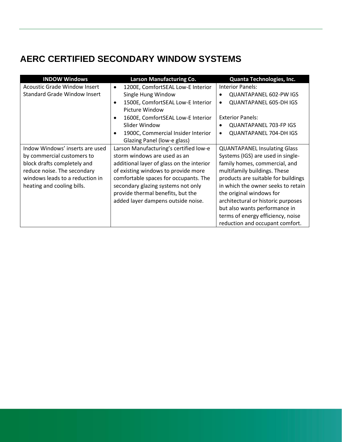# **AERC CERTIFIED SECONDARY WINDOW SYSTEMS**

| <b>INDOW Windows</b>                | <b>Larson Manufacturing Co.</b>                 | Quanta Technologies, Inc.                  |
|-------------------------------------|-------------------------------------------------|--------------------------------------------|
| <b>Acoustic Grade Window Insert</b> | 1200E, ComfortSEAL Low-E Interior<br>$\bullet$  | <b>Interior Panels:</b>                    |
| Standard Grade Window Insert        | Single Hung Window                              | <b>QUANTAPANEL 602-PW IGS</b>              |
|                                     | 1500E, ComfortSEAL Low-E Interior<br>$\bullet$  | <b>QUANTAPANEL 605-DH IGS</b><br>$\bullet$ |
|                                     | Picture Window                                  |                                            |
|                                     | 1600E, ComfortSEAL Low-E Interior               | <b>Exterior Panels:</b>                    |
|                                     | Slider Window                                   | <b>QUANTAPANEL 703-FP IGS</b>              |
|                                     | 1900C, Commercial Insider Interior<br>$\bullet$ | <b>QUANTAPANEL 704-DH IGS</b><br>$\bullet$ |
|                                     | Glazing Panel (low-e glass)                     |                                            |
| Indow Windows' inserts are used     | Larson Manufacturing's certified low-e          | <b>QUANTAPANEL Insulating Glass</b>        |
| by commercial customers to          | storm windows are used as an                    | Systems (IGS) are used in single-          |
| block drafts completely and         | additional layer of glass on the interior       | family homes, commercial, and              |
| reduce noise. The secondary         | of existing windows to provide more             | multifamily buildings. These               |
| windows leads to a reduction in     | comfortable spaces for occupants. The           | products are suitable for buildings        |
| heating and cooling bills.          | secondary glazing systems not only              | in which the owner seeks to retain         |
|                                     | provide thermal benefits, but the               | the original windows for                   |
|                                     | added layer dampens outside noise.              | architectural or historic purposes         |
|                                     |                                                 | but also wants performance in              |
|                                     |                                                 | terms of energy efficiency, noise          |
|                                     |                                                 | reduction and occupant comfort.            |